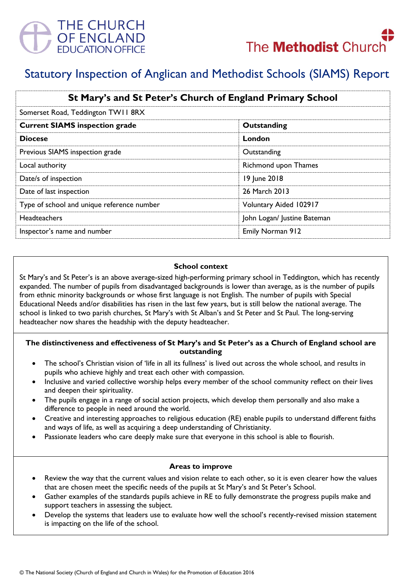



# Statutory Inspection of Anglican and Methodist Schools (SIAMS) Report

| St Mary's and St Peter's Church of England Primary School |                             |
|-----------------------------------------------------------|-----------------------------|
| Somerset Road, Teddington TW11 8RX                        |                             |
| <b>Current SIAMS inspection grade</b>                     | Outstanding                 |
| <b>Diocese</b>                                            | London                      |
| Previous SIAMS inspection grade                           | Outstanding                 |
| Local authority                                           | Richmond upon Thames        |
| Date/s of inspection                                      | 19 June 2018                |
| Date of last inspection                                   | 26 March 2013               |
| Type of school and unique reference number                | Voluntary Aided 102917      |
| Headteachers                                              | John Logan/ Justine Bateman |
| Inspector's name and number                               | Emily Norman 912            |

#### **School context**

St Mary's and St Peter's is an above average-sized high-performing primary school in Teddington, which has recently expanded. The number of pupils from disadvantaged backgrounds is lower than average, as is the number of pupils from ethnic minority backgrounds or whose first language is not English. The number of pupils with Special Educational Needs and/or disabilities has risen in the last few years, but is still below the national average. The school is linked to two parish churches, St Mary's with St Alban's and St Peter and St Paul. The long-serving headteacher now shares the headship with the deputy headteacher.

# **The distinctiveness and effectiveness of St Mary's and St Peter's as a Church of England school are outstanding**

- The school's Christian vision of 'life in all its fullness' is lived out across the whole school, and results in pupils who achieve highly and treat each other with compassion.
- Inclusive and varied collective worship helps every member of the school community reflect on their lives and deepen their spirituality.
- The pupils engage in a range of social action projects, which develop them personally and also make a difference to people in need around the world.
- Creative and interesting approaches to religious education (RE) enable pupils to understand different faiths and ways of life, as well as acquiring a deep understanding of Christianity.
- Passionate leaders who care deeply make sure that everyone in this school is able to flourish.

#### **Areas to improve**

- Review the way that the current values and vision relate to each other, so it is even clearer how the values that are chosen meet the specific needs of the pupils at St Mary's and St Peter's School.
- Gather examples of the standards pupils achieve in RE to fully demonstrate the progress pupils make and support teachers in assessing the subject.
- Develop the systems that leaders use to evaluate how well the school's recently-revised mission statement is impacting on the life of the school.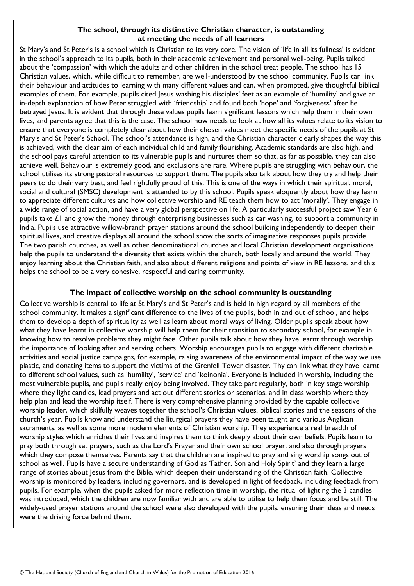## **The school, through its distinctive Christian character, is outstanding at meeting the needs of all learners**

St Mary's and St Peter's is a school which is Christian to its very core. The vision of 'life in all its fullness' is evident in the school's approach to its pupils, both in their academic achievement and personal well-being. Pupils talked about the 'compassion' with which the adults and other children in the school treat people. The school has 15 Christian values, which, while difficult to remember, are well-understood by the school community. Pupils can link their behaviour and attitudes to learning with many different values and can, when prompted, give thoughtful biblical examples of them. For example, pupils cited Jesus washing his disciples' feet as an example of 'humility' and gave an in-depth explanation of how Peter struggled with 'friendship' and found both 'hope' and 'forgiveness' after he betrayed Jesus. It is evident that through these values pupils learn significant lessons which help them in their own lives, and parents agree that this is the case. The school now needs to look at how all its values relate to its vision to ensure that everyone is completely clear about how their chosen values meet the specific needs of the pupils at St Mary's and St Peter's School. The school's attendance is high, and the Christian character clearly shapes the way this is achieved, with the clear aim of each individual child and family flourishing. Academic standards are also high, and the school pays careful attention to its vulnerable pupils and nurtures them so that, as far as possible, they can also achieve well. Behaviour is extremely good, and exclusions are rare. Where pupils are struggling with behaviour, the school utilises its strong pastoral resources to support them. The pupils also talk about how they try and help their peers to do their very best, and feel rightfully proud of this. This is one of the ways in which their spiritual, moral, social and cultural (SMSC) development is attended to by this school. Pupils speak eloquently about how they learn to appreciate different cultures and how collective worship and RE teach them how to act 'morally'. They engage in a wide range of social action, and have a very global perspective on life. A particularly successful project saw Year 6 pupils take £1 and grow the money through enterprising businesses such as car washing, to support a community in India. Pupils use attractive willow-branch prayer stations around the school building independently to deepen their spiritual lives, and creative displays all around the school show the sorts of imaginative responses pupils provide. The two parish churches, as well as other denominational churches and local Christian development organisations help the pupils to understand the diversity that exists within the church, both locally and around the world. They enjoy learning about the Christian faith, and also about different religions and points of view in RE lessons, and this helps the school to be a very cohesive, respectful and caring community.

## **The impact of collective worship on the school community is outstanding**

Collective worship is central to life at St Mary's and St Peter's and is held in high regard by all members of the school community. It makes a significant difference to the lives of the pupils, both in and out of school, and helps them to develop a depth of spirituality as well as learn about moral ways of living. Older pupils speak about how what they have learnt in collective worship will help them for their transition to secondary school, for example in knowing how to resolve problems they might face. Other pupils talk about how they have learnt through worship the importance of looking after and serving others. Worship encourages pupils to engage with different charitable activities and social justice campaigns, for example, raising awareness of the environmental impact of the way we use plastic, and donating items to support the victims of the Grenfell Tower disaster. Thy can link what they have learnt to different school values, such as 'humility', 'service' and 'koinonia'. Everyone is included in worship, including the most vulnerable pupils, and pupils really enjoy being involved. They take part regularly, both in key stage worship where they light candles, lead prayers and act out different stories or scenarios, and in class worship where they help plan and lead the worship itself. There is very comprehensive planning provided by the capable collective worship leader, which skilfully weaves together the school's Christian values, biblical stories and the seasons of the church's year. Pupils know and understand the liturgical prayers they have been taught and various Anglican sacraments, as well as some more modern elements of Christian worship. They experience a real breadth of worship styles which enriches their lives and inspires them to think deeply about their own beliefs. Pupils learn to pray both through set prayers, such as the Lord's Prayer and their own school prayer, and also through prayers which they compose themselves. Parents say that the children are inspired to pray and sing worship songs out of school as well. Pupils have a secure understanding of God as 'Father, Son and Holy Spirit' and they learn a large range of stories about Jesus from the Bible, which deepen their understanding of the Christian faith. Collective worship is monitored by leaders, including governors, and is developed in light of feedback, including feedback from pupils. For example, when the pupils asked for more reflection time in worship, the ritual of lighting the 3 candles was introduced, which the children are now familiar with and are able to utilise to help them focus and be still. The widely-used prayer stations around the school were also developed with the pupils, ensuring their ideas and needs were the driving force behind them.